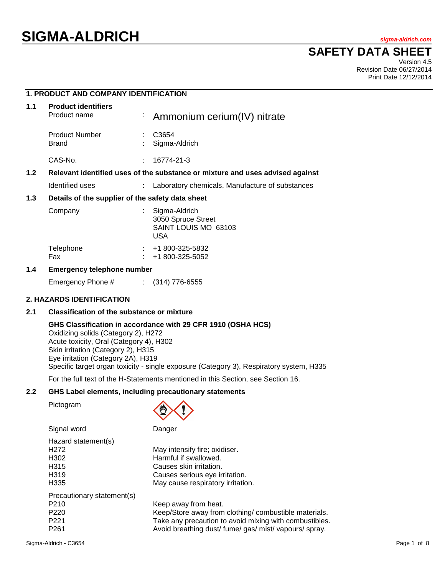# **SIGMA-ALDRICH** *sigma-aldrich.com*

## **SAFETY DATA SHEET**

Version 4.5 Revision Date 06/27/2014 Print Date 12/12/2014

### **1. PRODUCT AND COMPANY IDENTIFICATION**

| 1.1 | <b>Product identifiers</b><br>Product name       |  | : Ammonium cerium(IV) nitrate                                                 |
|-----|--------------------------------------------------|--|-------------------------------------------------------------------------------|
|     | <b>Product Number</b><br>Brand                   |  | C <sub>3654</sub><br>Sigma-Aldrich                                            |
|     | CAS-No.                                          |  | 16774-21-3                                                                    |
| 1.2 |                                                  |  | Relevant identified uses of the substance or mixture and uses advised against |
|     | Identified uses                                  |  | Laboratory chemicals, Manufacture of substances                               |
| 1.3 | Details of the supplier of the safety data sheet |  |                                                                               |
|     | Company                                          |  | Sigma-Aldrich<br>3050 Spruce Street<br>SAINT LOUIS MO 63103<br><b>USA</b>     |
|     | Telephone<br>Fax                                 |  | +1 800-325-5832<br>+1 800-325-5052                                            |

#### **1.4 Emergency telephone number**

Emergency Phone # : (314) 776-6555

#### **2. HAZARDS IDENTIFICATION**

#### **2.1 Classification of the substance or mixture**

#### **GHS Classification in accordance with 29 CFR 1910 (OSHA HCS)**

Oxidizing solids (Category 2), H272 Acute toxicity, Oral (Category 4), H302 Skin irritation (Category 2), H315 Eye irritation (Category 2A), H319 Specific target organ toxicity - single exposure (Category 3), Respiratory system, H335

For the full text of the H-Statements mentioned in this Section, see Section 16.

#### **2.2 GHS Label elements, including precautionary statements**

Pictogram



Signal word Danger

| Hazard statement(s)<br>H <sub>272</sub><br>H <sub>302</sub><br>H <sub>315</sub><br>H <sub>3</sub> 19<br>H335 | May intensify fire; oxidiser.<br>Harmful if swallowed.<br>Causes skin irritation.<br>Causes serious eye irritation.<br>May cause respiratory irritation.                                          |
|--------------------------------------------------------------------------------------------------------------|---------------------------------------------------------------------------------------------------------------------------------------------------------------------------------------------------|
| Precautionary statement(s)<br>P <sub>210</sub><br>P <sub>220</sub><br>P <sub>221</sub><br>P <sub>261</sub>   | Keep away from heat.<br>Keep/Store away from clothing/ combustible materials.<br>Take any precaution to avoid mixing with combustibles.<br>Avoid breathing dust/ fume/ gas/ mist/ vapours/ spray. |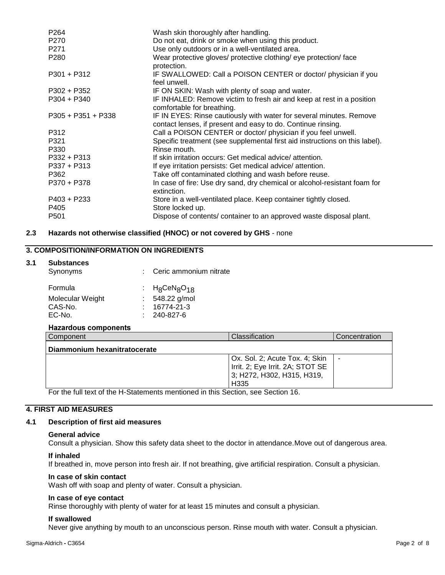| P <sub>264</sub>     | Wash skin thoroughly after handling.                                                                                                |
|----------------------|-------------------------------------------------------------------------------------------------------------------------------------|
| P <sub>270</sub>     | Do not eat, drink or smoke when using this product.                                                                                 |
| P <sub>271</sub>     | Use only outdoors or in a well-ventilated area.                                                                                     |
| P <sub>280</sub>     | Wear protective gloves/ protective clothing/ eye protection/ face<br>protection.                                                    |
| $P301 + P312$        | IF SWALLOWED: Call a POISON CENTER or doctor/ physician if you<br>feel unwell.                                                      |
| $P302 + P352$        | IF ON SKIN: Wash with plenty of soap and water.                                                                                     |
| $P304 + P340$        | IF INHALED: Remove victim to fresh air and keep at rest in a position<br>comfortable for breathing.                                 |
| $P305 + P351 + P338$ | IF IN EYES: Rinse cautiously with water for several minutes. Remove<br>contact lenses, if present and easy to do. Continue rinsing. |
| P312                 | Call a POISON CENTER or doctor/ physician if you feel unwell.                                                                       |
| P321                 | Specific treatment (see supplemental first aid instructions on this label).                                                         |
| P330                 | Rinse mouth.                                                                                                                        |
| P332 + P313          | If skin irritation occurs: Get medical advice/ attention.                                                                           |
| $P337 + P313$        | If eye irritation persists: Get medical advice/attention.                                                                           |
| P362                 | Take off contaminated clothing and wash before reuse.                                                                               |
| P370 + P378          | In case of fire: Use dry sand, dry chemical or alcohol-resistant foam for<br>extinction.                                            |
| $P403 + P233$        | Store in a well-ventilated place. Keep container tightly closed.                                                                    |
| P405                 | Store locked up.                                                                                                                    |
| P <sub>501</sub>     | Dispose of contents/ container to an approved waste disposal plant.                                                                 |

#### **2.3 Hazards not otherwise classified (HNOC) or not covered by GHS** - none

### **3. COMPOSITION/INFORMATION ON INGREDIENTS**

#### **3.1 Substances**

| Synonyms         |  | : Ceric ammonium nitrate                 |
|------------------|--|------------------------------------------|
| Formula          |  | : $H_8$ CeN <sub>8</sub> O <sub>18</sub> |
| Molecular Weight |  | $: 548.22$ g/mol                         |
| CAS-No.          |  | $: 16774-21-3$                           |
| EC-No.           |  | $: 240 - 827 - 6$                        |
|                  |  |                                          |

#### **Hazardous components**

| Component                    | Classification                                                                                                       | Concentration |
|------------------------------|----------------------------------------------------------------------------------------------------------------------|---------------|
| Diammonium hexanitratocerate |                                                                                                                      |               |
|                              | Ox. Sol. 2; Acute Tox. 4; Skin<br>Irrit. 2; Eye Irrit. 2A; STOT SE<br>3; H272, H302, H315, H319,<br>H <sub>335</sub> |               |

For the full text of the H-Statements mentioned in this Section, see Section 16.

#### **4. FIRST AID MEASURES**

#### **4.1 Description of first aid measures**

#### **General advice**

Consult a physician. Show this safety data sheet to the doctor in attendance.Move out of dangerous area.

#### **If inhaled**

If breathed in, move person into fresh air. If not breathing, give artificial respiration. Consult a physician.

#### **In case of skin contact**

Wash off with soap and plenty of water. Consult a physician.

#### **In case of eye contact**

Rinse thoroughly with plenty of water for at least 15 minutes and consult a physician.

#### **If swallowed**

Never give anything by mouth to an unconscious person. Rinse mouth with water. Consult a physician.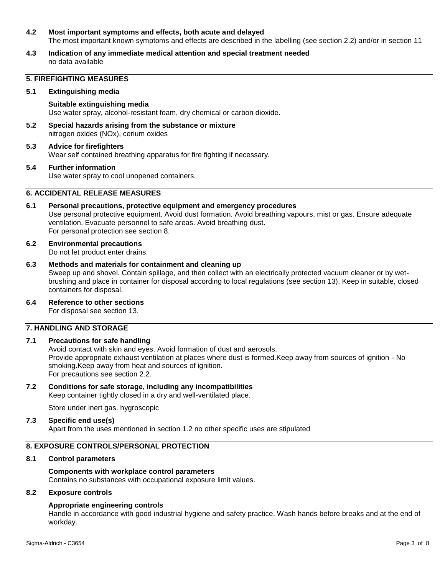#### **4.2 Most important symptoms and effects, both acute and delayed**

The most important known symptoms and effects are described in the labelling (see section 2.2) and/or in section 11

**4.3 Indication of any immediate medical attention and special treatment needed** no data available

#### **5. FIREFIGHTING MEASURES**

#### **5.1 Extinguishing media**

**Suitable extinguishing media** Use water spray, alcohol-resistant foam, dry chemical or carbon dioxide.

**5.2 Special hazards arising from the substance or mixture** nitrogen oxides (NOx), cerium oxides

#### **5.3 Advice for firefighters** Wear self contained breathing apparatus for fire fighting if necessary.

#### **5.4 Further information** Use water spray to cool unopened containers.

#### **6. ACCIDENTAL RELEASE MEASURES**

- **6.1 Personal precautions, protective equipment and emergency procedures** Use personal protective equipment. Avoid dust formation. Avoid breathing vapours, mist or gas. Ensure adequate ventilation. Evacuate personnel to safe areas. Avoid breathing dust. For personal protection see section 8.
- **6.2 Environmental precautions** Do not let product enter drains.
- **6.3 Methods and materials for containment and cleaning up** Sweep up and shovel. Contain spillage, and then collect with an electrically protected vacuum cleaner or by wetbrushing and place in container for disposal according to local regulations (see section 13). Keep in suitable, closed containers for disposal.
- **6.4 Reference to other sections**

For disposal see section 13.

### **7. HANDLING AND STORAGE**

#### **7.1 Precautions for safe handling**

Avoid contact with skin and eyes. Avoid formation of dust and aerosols. Provide appropriate exhaust ventilation at places where dust is formed.Keep away from sources of ignition - No smoking.Keep away from heat and sources of ignition. For precautions see section 2.2.

#### **7.2 Conditions for safe storage, including any incompatibilities**

Keep container tightly closed in a dry and well-ventilated place.

Store under inert gas. hygroscopic

#### **7.3 Specific end use(s)**

Apart from the uses mentioned in section 1.2 no other specific uses are stipulated

#### **8. EXPOSURE CONTROLS/PERSONAL PROTECTION**

#### **8.1 Control parameters**

#### **Components with workplace control parameters** Contains no substances with occupational exposure limit values.

#### **8.2 Exposure controls**

#### **Appropriate engineering controls**

Handle in accordance with good industrial hygiene and safety practice. Wash hands before breaks and at the end of workday.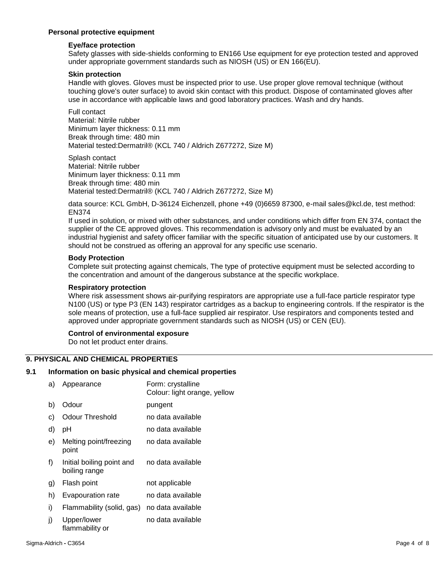#### **Personal protective equipment**

#### **Eye/face protection**

Safety glasses with side-shields conforming to EN166 Use equipment for eye protection tested and approved under appropriate government standards such as NIOSH (US) or EN 166(EU).

#### **Skin protection**

Handle with gloves. Gloves must be inspected prior to use. Use proper glove removal technique (without touching glove's outer surface) to avoid skin contact with this product. Dispose of contaminated gloves after use in accordance with applicable laws and good laboratory practices. Wash and dry hands.

Full contact Material: Nitrile rubber Minimum layer thickness: 0.11 mm Break through time: 480 min Material tested:Dermatril® (KCL 740 / Aldrich Z677272, Size M)

Splash contact Material: Nitrile rubber Minimum layer thickness: 0.11 mm Break through time: 480 min Material tested:Dermatril® (KCL 740 / Aldrich Z677272, Size M)

data source: KCL GmbH, D-36124 Eichenzell, phone +49 (0)6659 87300, e-mail sales@kcl.de, test method: EN374

If used in solution, or mixed with other substances, and under conditions which differ from EN 374, contact the supplier of the CE approved gloves. This recommendation is advisory only and must be evaluated by an industrial hygienist and safety officer familiar with the specific situation of anticipated use by our customers. It should not be construed as offering an approval for any specific use scenario.

#### **Body Protection**

Complete suit protecting against chemicals, The type of protective equipment must be selected according to the concentration and amount of the dangerous substance at the specific workplace.

#### **Respiratory protection**

Where risk assessment shows air-purifying respirators are appropriate use a full-face particle respirator type N100 (US) or type P3 (EN 143) respirator cartridges as a backup to engineering controls. If the respirator is the sole means of protection, use a full-face supplied air respirator. Use respirators and components tested and approved under appropriate government standards such as NIOSH (US) or CEN (EU).

#### **Control of environmental exposure**

Do not let product enter drains.

#### **9. PHYSICAL AND CHEMICAL PROPERTIES**

#### **9.1 Information on basic physical and chemical properties**

| a) | Appearance                                 | Form: crystalline<br>Colour: light orange, yellow |
|----|--------------------------------------------|---------------------------------------------------|
| b) | Odour                                      | pungent                                           |
| C) | <b>Odour Threshold</b>                     | no data available                                 |
| d) | рH                                         | no data available                                 |
| e) | Melting point/freezing<br>point            | no data available                                 |
| f) | Initial boiling point and<br>boiling range | no data available                                 |
| g) | Flash point                                | not applicable                                    |
| h) | Evapouration rate                          | no data available                                 |
| i) | Flammability (solid, gas)                  | no data available                                 |
| j) | Upper/lower<br>flammability or             | no data available                                 |
|    |                                            |                                                   |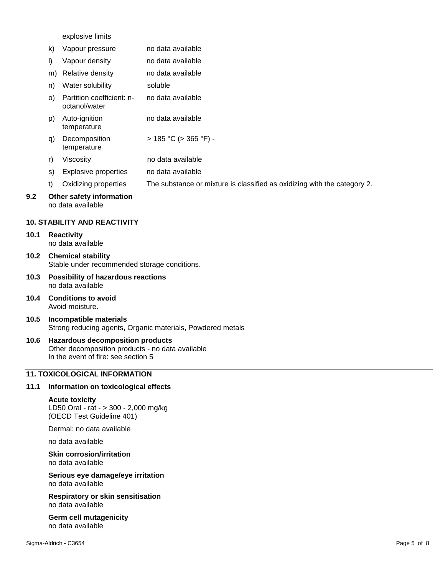explosive limits

|     | k) | Vapour pressure                               | no data available                                                        |
|-----|----|-----------------------------------------------|--------------------------------------------------------------------------|
|     | I) | Vapour density                                | no data available                                                        |
|     |    | m) Relative density                           | no data available                                                        |
|     | n) | Water solubility                              | soluble                                                                  |
|     | O) | Partition coefficient: n-<br>octanol/water    | no data available                                                        |
|     | p) | Auto-ignition<br>temperature                  | no data available                                                        |
|     | q) | Decomposition<br>temperature                  | $>$ 185 °C ( $>$ 365 °F) -                                               |
|     | r) | Viscosity                                     | no data available                                                        |
|     | S) | <b>Explosive properties</b>                   | no data available                                                        |
|     | t) | Oxidizing properties                          | The substance or mixture is classified as oxidizing with the category 2. |
| 9.2 |    | Other safety information<br>no data available |                                                                          |

#### **10. STABILITY AND REACTIVITY**

#### **10.1 Reactivity** no data available

- **10.2 Chemical stability** Stable under recommended storage conditions.
- **10.3 Possibility of hazardous reactions** no data available
- **10.4 Conditions to avoid** Avoid moisture.
- **10.5 Incompatible materials** Strong reducing agents, Organic materials, Powdered metals

## **10.6 Hazardous decomposition products**

Other decomposition products - no data available In the event of fire: see section 5

#### **11. TOXICOLOGICAL INFORMATION**

#### **11.1 Information on toxicological effects**

#### **Acute toxicity**

LD50 Oral - rat - > 300 - 2,000 mg/kg (OECD Test Guideline 401)

Dermal: no data available

no data available

**Skin corrosion/irritation** no data available

**Serious eye damage/eye irritation** no data available

**Respiratory or skin sensitisation** no data available

**Germ cell mutagenicity** no data available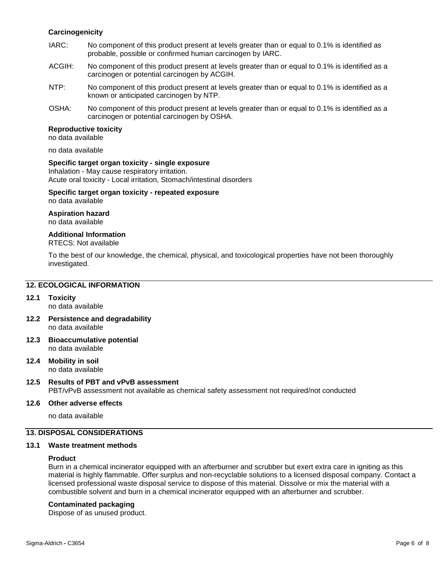#### **Carcinogenicity**

- IARC: No component of this product present at levels greater than or equal to 0.1% is identified as probable, possible or confirmed human carcinogen by IARC.
- ACGIH: No component of this product present at levels greater than or equal to 0.1% is identified as a carcinogen or potential carcinogen by ACGIH.
- NTP: No component of this product present at levels greater than or equal to 0.1% is identified as a known or anticipated carcinogen by NTP.
- OSHA: No component of this product present at levels greater than or equal to 0.1% is identified as a carcinogen or potential carcinogen by OSHA.

#### **Reproductive toxicity**

no data available

no data available

#### **Specific target organ toxicity - single exposure**

Inhalation - May cause respiratory irritation. Acute oral toxicity - Local irritation, Stomach/intestinal disorders

#### **Specific target organ toxicity - repeated exposure** no data available

#### **Aspiration hazard**

no data available

#### **Additional Information**

RTECS: Not available

To the best of our knowledge, the chemical, physical, and toxicological properties have not been thoroughly investigated.

#### **12. ECOLOGICAL INFORMATION**

- **12.1 Toxicity** no data available
- **12.2 Persistence and degradability** no data available
- **12.3 Bioaccumulative potential** no data available

#### **12.4 Mobility in soil** no data available

## **12.5 Results of PBT and vPvB assessment**

PBT/vPvB assessment not available as chemical safety assessment not required/not conducted

#### **12.6 Other adverse effects**

no data available

### **13. DISPOSAL CONSIDERATIONS**

#### **13.1 Waste treatment methods**

#### **Product**

Burn in a chemical incinerator equipped with an afterburner and scrubber but exert extra care in igniting as this material is highly flammable. Offer surplus and non-recyclable solutions to a licensed disposal company. Contact a licensed professional waste disposal service to dispose of this material. Dissolve or mix the material with a combustible solvent and burn in a chemical incinerator equipped with an afterburner and scrubber.

#### **Contaminated packaging**

Dispose of as unused product.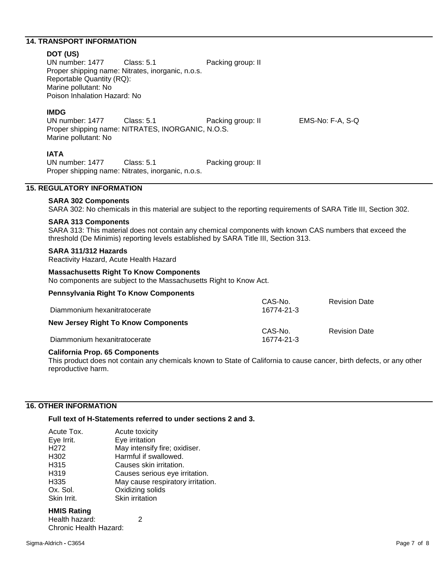#### **14. TRANSPORT INFORMATION**

**DOT (US)**<br> **UN** number: 1477 Class: 5.1 Packing group: II Proper shipping name: Nitrates, inorganic, n.o.s. Reportable Quantity (RQ): Marine pollutant: No Poison Inhalation Hazard: No

#### **IMDG**

UN number: 1477 Class: 5.1 Packing group: II EMS-No: F-A, S-Q Proper shipping name: NITRATES, INORGANIC, N.O.S. Marine pollutant: No

**IATA**<br>UN number: 1477 Class: 5.1 Packing group: II Proper shipping name: Nitrates, inorganic, n.o.s.

#### **15. REGULATORY INFORMATION**

#### **SARA 302 Components**

SARA 302: No chemicals in this material are subject to the reporting requirements of SARA Title III, Section 302.

#### **SARA 313 Components**

SARA 313: This material does not contain any chemical components with known CAS numbers that exceed the threshold (De Minimis) reporting levels established by SARA Title III, Section 313.

#### **SARA 311/312 Hazards**

Reactivity Hazard, Acute Health Hazard

#### **Massachusetts Right To Know Components**

No components are subject to the Massachusetts Right to Know Act.

| <b>Pennsylvania Right To Know Components</b> |            |                      |
|----------------------------------------------|------------|----------------------|
|                                              | CAS-No.    | <b>Revision Date</b> |
| Diammonium hexanitratocerate                 | 16774-21-3 |                      |
| <b>New Jersey Right To Know Components</b>   |            |                      |
|                                              | CAS-No.    | <b>Revision Date</b> |
| Diammonium hexanitratocerate                 | 16774-21-3 |                      |

#### **California Prop. 65 Components**

This product does not contain any chemicals known to State of California to cause cancer, birth defects, or any other reproductive harm.

#### **16. OTHER INFORMATION**

#### **Full text of H-Statements referred to under sections 2 and 3.**

| Acute Tox.       | Acute toxicity                    |
|------------------|-----------------------------------|
| Eye Irrit.       | Eye irritation                    |
| H <sub>272</sub> | May intensify fire; oxidiser.     |
| H302             | Harmful if swallowed.             |
| H315             | Causes skin irritation.           |
| H <sub>319</sub> | Causes serious eye irritation.    |
| H335             | May cause respiratory irritation. |
| Ox. Sol.         | Oxidizing solids                  |
| Skin Irrit.      | Skin irritation                   |

#### **HMIS Rating**

| Health hazard:         |  |
|------------------------|--|
| Chronic Health Hazard: |  |